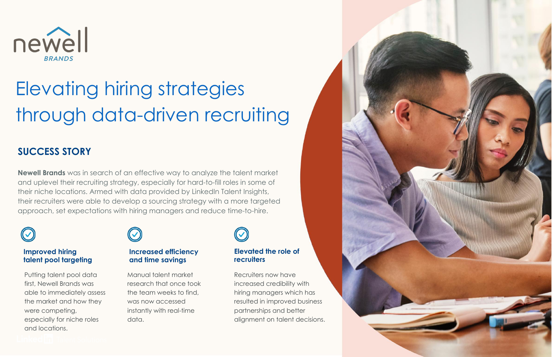

# Elevating hiring strategies through data-driven recruiting

### **SUCCESS STORY**

**Newell Brands** was in search of an effective way to analyze the talent market and uplevel their recruiting strategy, especially for hard-to-fill roles in some of their niche locations. Armed with data provided by LinkedIn Talent Insights, their recruiters were able to develop a sourcing strategy with a more targeted approach, set expectations with hiring managers and reduce time-to-hire.



#### **Improved hiring talent pool targeting**

Putting talent pool data first, Newell Brands was able to immediately assess the market and how they were competing, especially for niche roles and locations.



#### **Increased efficiency and time savings**

Manual talent market research that once took the team weeks to find, was now accessed instantly with real-time data.



#### **Elevated the role of recruiters**

Recruiters now have increased credibility with hiring managers which has resulted in improved business partnerships and better alignment on talent decisions.